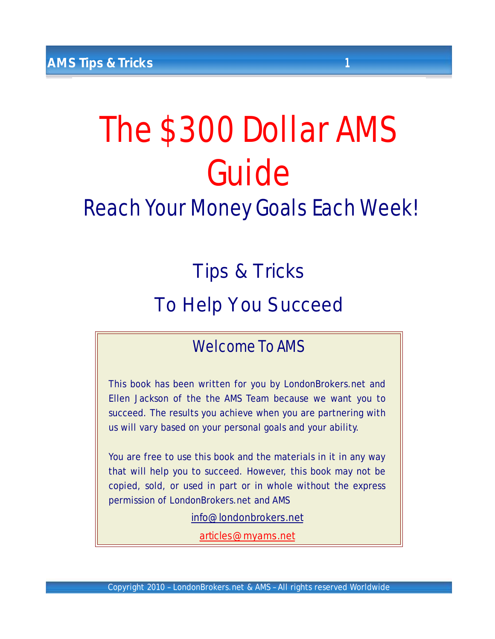# The \$300 Dollar AMS Guide

Reach Your Money Goals Each Week!

# Tips & Tricks

# To Help You Succeed

# Welcome To AMS

This book has been written for you by LondonBrokers.net and Ellen Jackson of the the AMS Team because we want you to succeed. The results you achieve when you are partnering with us will vary based on your personal goals and your ability.

You are free to use this book and the materials in it in any way that will help you to succeed. However, this book may not be copied, sold, or used in part or in whole without the express permission of LondonBrokers.net and AMS

[info@londonbrokers.net](mailto:info@londonbrokers.net)

[articles@myams.net](mailto:articles@myams.net)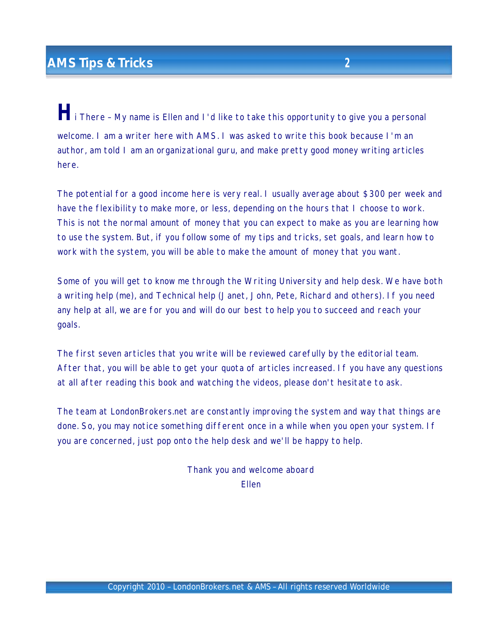*H*i There – My name is Ellen and I'd like to take this opportunity to give you <sup>a</sup> personal welcome. I am a writer here with AMS. I was asked to write this book because I'm an author, am told I am an organizational guru, and make pretty good money writing articles here.

The potential for a good income here is very real. I usually average about \$300 per week and have the flexibility to make more, or less, depending on the hours that I choose to work. This is not the normal amount of money that you can expect to make as you are learning how to use the system. But, if you follow some of my tips and tricks, set goals, and learn how to work with the system, you will be able to make the amount of money that you want.

Some of you will get to know me through the Writing University and help desk. We have both a writing help (me), and Technical help (Janet, John, Pete, Richard and others). If you need any help at all, we are for you and will do our best to help you to succeed and reach your goals.

The first seven articles that you write will be reviewed carefully by the editorial team. After that, you will be able to get your quota of articles increased. If you have any questions at all after reading this book and watching the videos, please don't hesitate to ask.

The team at LondonBrokers.net are constantly improving the system and way that things are done. So, you may notice something different once in a while when you open your system. If you are concerned, just pop onto the help desk and we'll be happy to help.

> Thank you and welcome aboard Ellen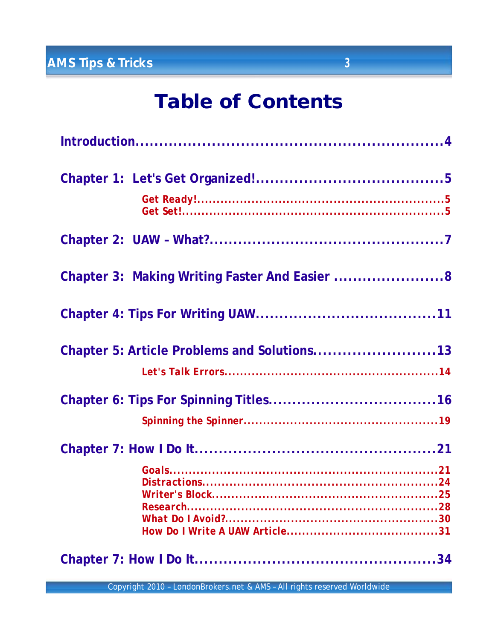| Chapter 3: Making Writing Faster And Easier 8 |  |
|-----------------------------------------------|--|
|                                               |  |
| Chapter 5: Article Problems and Solutions13   |  |
|                                               |  |
|                                               |  |
|                                               |  |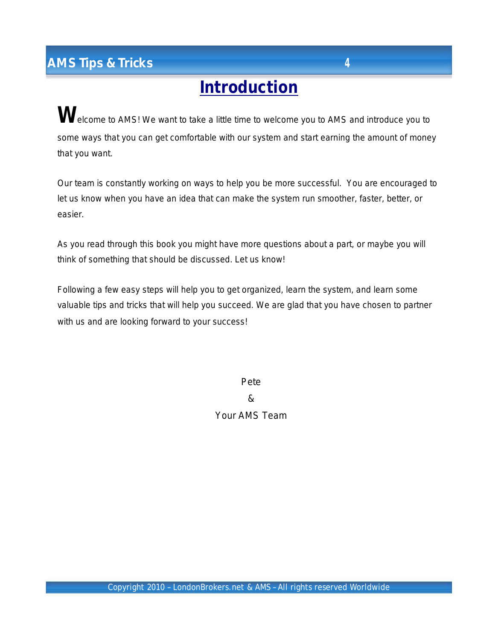# **Introduction**

Welcome to AMS! We want to take a little time to welcome you to AMS and introduce you to some ways that you can get comfortable with our system and start earning the amount of money that you want.

Our team is constantly working on ways to help you be more successful. You are encouraged to let us know when you have an idea that can make the system run smoother, faster, better, or easier.

As you read through this book you might have more questions about a part, or maybe you will think of something that should be discussed. Let us know!

Following a few easy steps will help you to get organized, learn the system, and learn some valuable tips and tricks that will help you succeed. We are glad that you have chosen to partner with us and are looking forward to your success!

> Pete & Your AMS Team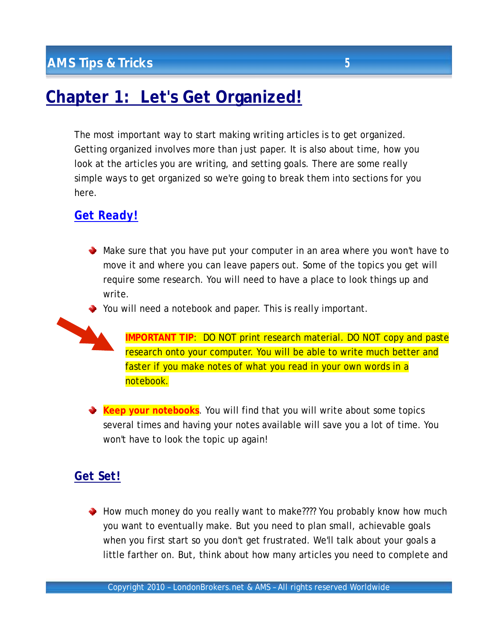# **Chapter 1: Let's Get Organized!**

The most important way to start making writing articles is to get organized. Getting organized involves more than just paper. It is also about time, how you look at the articles you are writing, and setting goals. There are some really simple ways to get organized so we're going to break them into sections for you here.

## *Get Ready!*

Make sure that you have put your computer in an area where you won't have to move it and where you can leave papers out. Some of the topics you get will require some research. You will need to have a place to look things up and write.

You will need a notebook and paper. This is really important.



**IMPORTANT TIP**: DO NOT print research material. DO NOT copy and paste research onto your computer. You will be able to write much better and faster if you make notes of what you read in your own words in a notebook.

**Keep your notebooks**. You will find that you will write about some topics several times and having your notes available will save you a lot of time. You won't have to look the topic up again!

## *Get Set!*

How much money do you really want to make???? You probably know how much you want to eventually make. But you need to plan small, achievable goals when you first start so you don't get frustrated. We'll talk about your goals a little farther on. But, think about how many articles you need to complete and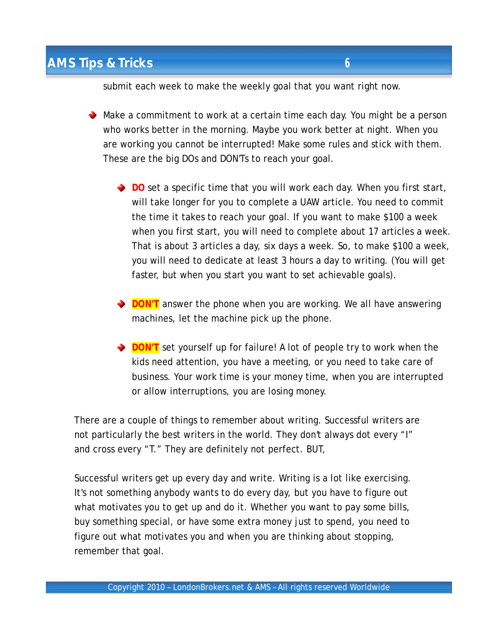submit each week to make the weekly goal that you want right now.

- ◆ Make a commitment to work at a certain time each day. You might be a person who works better in the morning. Maybe you work better at night. When you are working you cannot be interrupted! Make some rules and stick with them. These are the big DOs and DON'Ts to reach your goal.
	- **DO** set a specific time that you will work each day. When you first start, will take longer for you to complete a UAW article. You need to commit the time it takes to reach your goal. If you want to make \$100 a week when you first start, you will need to complete about 17 articles a week. That is about 3 articles a day, six days a week. So, to make \$100 a week, you will need to dedicate at least 3 hours a day to writing. (You will get faster, but when you start you want to set achievable goals).
	- **DON'T** answer the phone when you are working. We all have answering machines, let the machine pick up the phone.
	- **DON'T** set yourself up for failure! A lot of people try to work when the kids need attention, you have a meeting, or you need to take care of business. Your work time is your money time, when you are interrupted or allow interruptions, you are losing money.

There are a couple of things to remember about writing. Successful writers are not particularly the best writers in the world. They don't always dot every "I" and cross every "T." They are definitely not perfect. BUT,

Successful writers get up every day and write. Writing is a lot like exercising. It's not something anybody wants to do every day, but you have to figure out what motivates you to get up and do it. Whether you want to pay some bills, buy something special, or have some extra money just to spend, you need to figure out what motivates you and when you are thinking about stopping, remember that goal.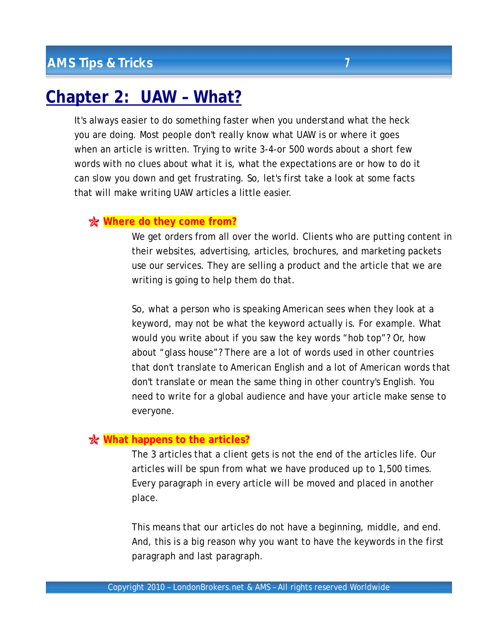# **Chapter 2: UAW – What?**

It's always easier to do something faster when you understand what the heck you are doing. Most people don't really know what UAW is or where it goes when an article is written. Trying to write 3-4-or 500 words about a short few words with no clues about what it is, what the expectations are or how to do it can slow you down and get frustrating. So, let's first take a look at some facts that will make writing UAW articles a little easier.

#### **Where do they come from?**

We get orders from all over the world. Clients who are putting content in their websites, advertising, articles, brochures, and marketing packets use our services. They are selling a product and the article that we are writing is going to help them do that.

So, what a person who is speaking American sees when they look at a keyword, may not be what the keyword actually is. For example. What would you write about if you saw the key words "hob top"? Or, how about "glass house"? There are a lot of words used in other countries that don't translate to American English and a lot of American words that don't translate or mean the same thing in other country's English. You need to write for a global audience and have your article make sense to everyone.

#### **What happens to the articles?**

The 3 articles that a client gets is not the end of the articles life. Our articles will be spun from what we have produced up to 1,500 times. Every paragraph in every article will be moved and placed in another place.

This means that our articles do not have a beginning, middle, and end. And, this is a big reason why you want to have the keywords in the first paragraph and last paragraph.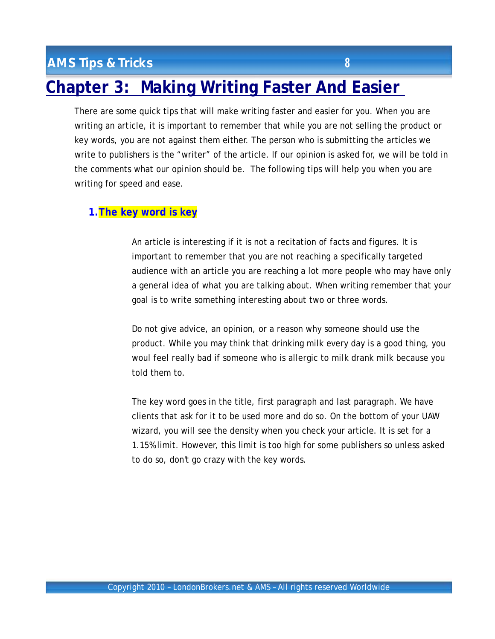# **Chapter 3: Making Writing Faster And Easier**

There are some quick tips that will make writing faster and easier for you. When you are writing an article, it is important to remember that while you are not selling the product or key words, you are not against them either. The person who is submitting the articles we write to publishers is the "writer" of the article. If our opinion is asked for, we will be told in the comments what our opinion should be. The following tips will help you when you are writing for speed and ease.

#### **1.The key word is key**

An article is interesting if it is not a recitation of facts and figures. It is important to remember that you are not reaching a specifically targeted audience with an article you are reaching a lot more people who may have only a general idea of what you are talking about. When writing remember that your goal is to write something interesting about two or three words.

Do not give advice, an opinion, or a reason why someone should use the product. While you may think that drinking milk every day is a good thing, you woul feel really bad if someone who is allergic to milk drank milk because you told them to.

The key word goes in the title, first paragraph and last paragraph. We have clients that ask for it to be used more and do so. On the bottom of your UAW wizard, you will see the density when you check your article. It is set for a 1.15% limit. However, this limit is too high for some publishers so unless asked to do so, don't go crazy with the key words.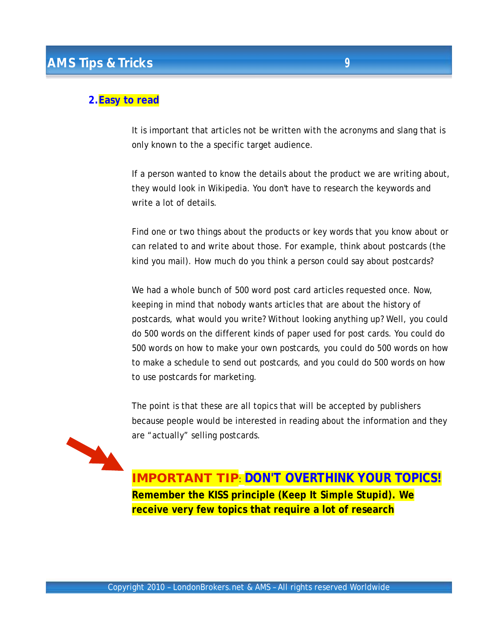#### **2.Easy to read**

It is important that articles not be written with the acronyms and slang that is only known to the a specific target audience.

If a person wanted to know the details about the product we are writing about, they would look in Wikipedia. You don't have to research the keywords and write a lot of details.

Find one or two things about the products or key words that you know about or can related to and write about those. For example, think about postcards (the kind you mail). How much do you think a person could say about postcards?

We had a whole bunch of 500 word post card articles requested once. Now, keeping in mind that nobody wants articles that are about the history of postcards, what would you write? Without looking anything up? Well, you could do 500 words on the different kinds of paper used for post cards. You could do 500 words on how to make your own postcards, you could do 500 words on how to make a schedule to send out postcards, and you could do 500 words on how to use postcards for marketing.

The point is that these are all topics that will be accepted by publishers because people would be interested in reading about the information and they are "actually" selling postcards.



**IMPORTANT TIP**: **DON'T OVERTHINK YOUR TOPICS! Remember the KISS principle** *(Keep It Simple Stupid)***. We receive very few topics that require a lot of research**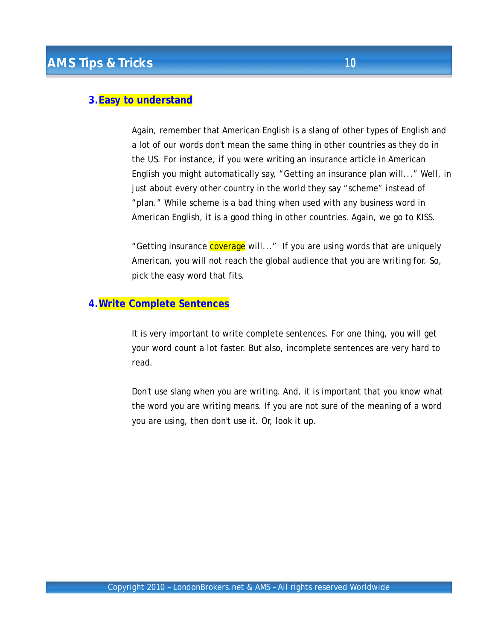#### **3.Easy to understand**

Again, remember that American English is a slang of other types of English and a lot of our words don't mean the same thing in other countries as they do in the US. For instance, if you were writing an insurance article in American English you might automatically say, "Getting an insurance plan will..." Well, in just about every other country in the world they say "scheme" instead of "plan." While scheme is a bad thing when used with any business word in American English, it is a good thing in other countries. Again, we go to KISS.

"Getting insurance **coverage** will..." If you are using words that are uniquely American, you will not reach the global audience that you are writing for. So, pick the easy word that fits.

#### **4.Write Complete Sentences**

It is very important to write complete sentences. For one thing, you will get your word count a lot faster. But also, incomplete sentences are very hard to read.

Don't use slang when you are writing. And, it is important that you know what the word you are writing means. If you are not sure of the meaning of a word you are using, then don't use it. Or, look it up.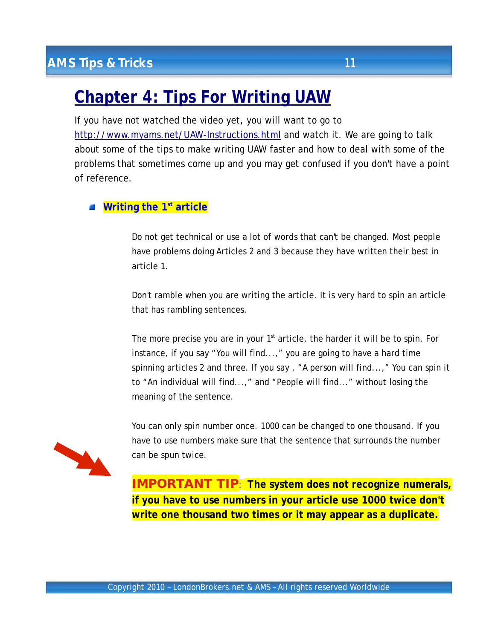# **Chapter 4: Tips For Writing UAW**

If you have not watched the video yet, you will want to go to <http://www.myams.net/UAW-Instructions.html> and watch it. We are going to talk about some of the tips to make writing UAW faster and how to deal with some of the problems that sometimes come up and you may get confused if you don't have a point of reference.

#### **Writing the 1st article**

Do not get technical or use a lot of words that can't be changed. Most people have problems doing Articles 2 and 3 because they have written their best in article 1.

Don't ramble when you are writing the article. It is very hard to spin an article that has rambling sentences.

The more precise you are in your  $1<sup>st</sup>$  article, the harder it will be to spin. For instance, if you say "You will find...," you are going to have a hard time spinning articles 2 and three. If you say , "A person will find...," You can spin it to "An individual will find...," and "People will find..." without losing the meaning of the sentence.

You can only spin number once. 1000 can be changed to one thousand. If you have to use numbers make sure that the sentence that surrounds the number can be spun twice.

**IMPORTANT TIP**: **The system does not recognize numerals, if you have to use numbers in your article use 1000 twice don't write one thousand two times or it may appear as a duplicate.**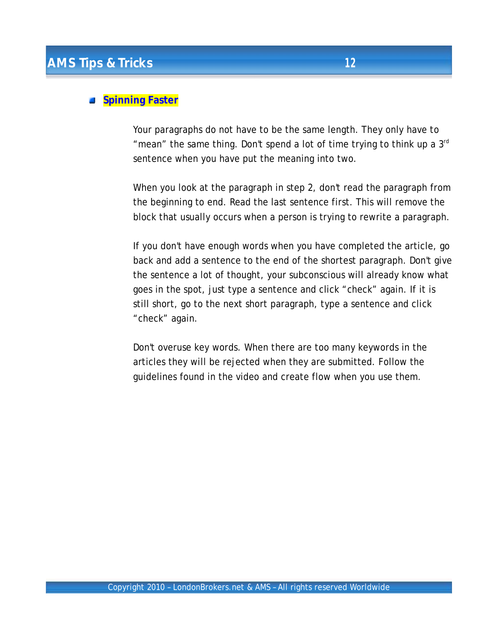## **Spinning Faster**

Your paragraphs do not have to be the same length. They only have to "mean" the same thing. Don't spend a lot of time trying to think up a  $3<sup>rd</sup>$ sentence when you have put the meaning into two.

When you look at the paragraph in step 2, don't read the paragraph from the beginning to end. Read the last sentence first. This will remove the block that usually occurs when a person is trying to rewrite a paragraph.

If you don't have enough words when you have completed the article, go back and add a sentence to the end of the shortest paragraph. Don't give the sentence a lot of thought, your subconscious will already know what goes in the spot, just type a sentence and click "check" again. If it is still short, go to the next short paragraph, type a sentence and click "check" again.

Don't overuse key words. When there are too many keywords in the articles they will be rejected when they are submitted. Follow the guidelines found in the video and create flow when you use them.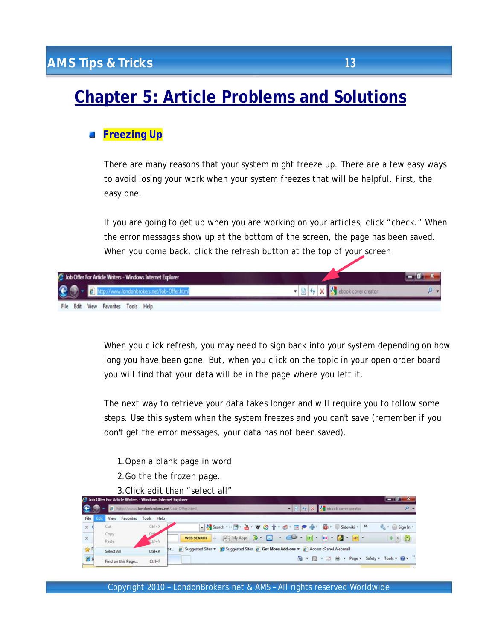# **Chapter 5: Article Problems and Solutions**

#### **Freezing Up**

There are many reasons that your system might freeze up. There are a few easy ways to avoid losing your work when your system freezes that will be helpful. First, the easy one.

If you are going to get up when you are working on your articles, click "check." When the error messages show up at the bottom of the screen, the page has been saved. When you come back, click the refresh button at the top of your screen



When you click refresh, you may need to sign back into your system depending on how long you have been gone. But, when you click on the topic in your open order board you will find that your data will be in the page where you left it.

The next way to retrieve your data takes longer and will require you to follow some steps. Use this system when the system freezes and you can't save (remember if you don't get the error messages, your data has not been saved).

- 1.Open a blank page in word
- 2.Go the the frozen page.
- 3.Click edit then "select all"

|             |     | Job Offer For Article Writers - Windows Internet Explorer |               |                                                                                                                                                                                                                                                                                                                                                                                                                                          |                        |
|-------------|-----|-----------------------------------------------------------|---------------|------------------------------------------------------------------------------------------------------------------------------------------------------------------------------------------------------------------------------------------------------------------------------------------------------------------------------------------------------------------------------------------------------------------------------------------|------------------------|
|             |     | 2 http://www.londonbrokers.net/Job-Offer.html             |               | $\bullet$ 2 $\bullet$ $\times$<br>ook cover creator                                                                                                                                                                                                                                                                                                                                                                                      | $\Omega$ +             |
| File        | Edi | View<br>Favorites                                         | Tools<br>Help |                                                                                                                                                                                                                                                                                                                                                                                                                                          |                        |
| $\times$    |     | Cut                                                       | $Ctrl+X$      | • Starch → 同· 品· W の 介 · 感 · 画 声 中 · 图 · U Sidewiki ·   »                                                                                                                                                                                                                                                                                                                                                                                | $\leftarrow$ Sign In - |
| $\times$    |     | Copy<br>Paste                                             | $Ctr1-V$      | A My Apps $\bigotimes$ $\bigotimes$ $\bigotimes$ $\bigotimes$ $\bigotimes$ $\bigotimes$ $\bigotimes$ $\bigotimes$ $\bigotimes$ $\bigotimes$ $\bigotimes$ $\bigotimes$ $\bigotimes$ $\bigotimes$ $\bigotimes$ $\bigotimes$ $\bigotimes$ $\bigotimes$ $\bigotimes$ $\bigotimes$ $\bigotimes$ $\bigotimes$ $\bigotimes$ $\bigotimes$ $\bigotimes$ $\bigotimes$ $\bigotimes$ $\bigotimes$ $\bigotimes$ $\bigotimes$ $\$<br><b>WEB SEARCH</b> |                        |
| <b>SIRF</b> |     | Select All                                                | $Ctrl + A$    | pr 2 Suggested Sites v & Suggested Sites 2 Get More Add-ons v 2 Access cPanel Webmail                                                                                                                                                                                                                                                                                                                                                    |                        |
| e           |     | Find on this Page                                         | $Ctrl + F$    | ☆ ▼ 同 ▼ □ ■ ▼ Page ▼ Safety ▼ Tools ▼ ☆                                                                                                                                                                                                                                                                                                                                                                                                  |                        |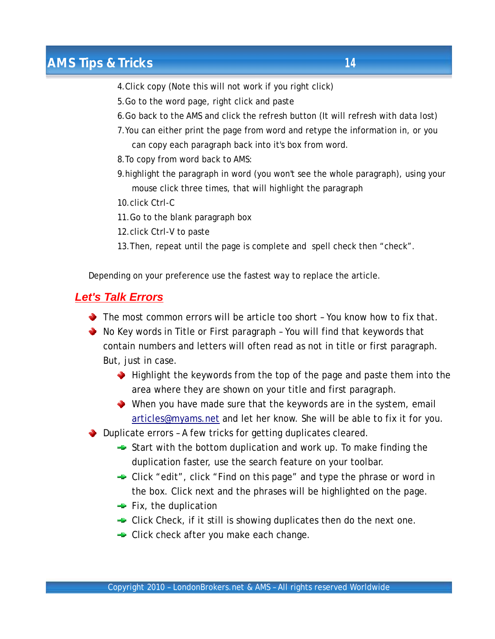- 4.Click copy (Note this will not work if you right click)
- 5.Go to the word page, right click and paste
- 6.Go back to the AMS and click the refresh button (It will refresh with data lost)
- 7.You can either print the page from word and retype the information in, or you can copy each paragraph back into it's box from word.
- 8.To copy from word back to AMS:
- 9.highlight the paragraph in word (you won't see the whole paragraph), using your mouse click three times, that will highlight the paragraph
- 10.click Ctrl-C
- 11.Go to the blank paragraph box
- 12.click Ctrl-V to paste
- 13.Then, repeat until the page is complete and spell check then "check".

Depending on your preference use the fastest way to replace the article.

## *Let's Talk Errors*

- $\blacktriangleright$  The most common errors will be article too short You know how to fix that.
- ◆ No Key words in Title or First paragraph You will find that keywords that contain numbers and letters will often read as not in title or first paragraph. But, just in case.
	- $\blacktriangleright$  Highlight the keywords from the top of the page and paste them into the area where they are shown on your title and first paragraph.
	- When you have made sure that the keywords are in the system, email [articles@myams.net](mailto:articles@myams.net) and let her know. She will be able to fix it for you.

Duplicate errors – A few tricks for getting duplicates cleared.

- $\rightarrow$  Start with the bottom duplication and work up. To make finding the duplication faster, use the search feature on your toolbar.
- **→** Click "edit", click "Find on this page" and type the phrase or word in the box. Click next and the phrases will be highlighted on the page.
- $\div$  Fix, the duplication
- $\div$  Click Check, if it still is showing duplicates then do the next one.
- **►** Click check after you make each change.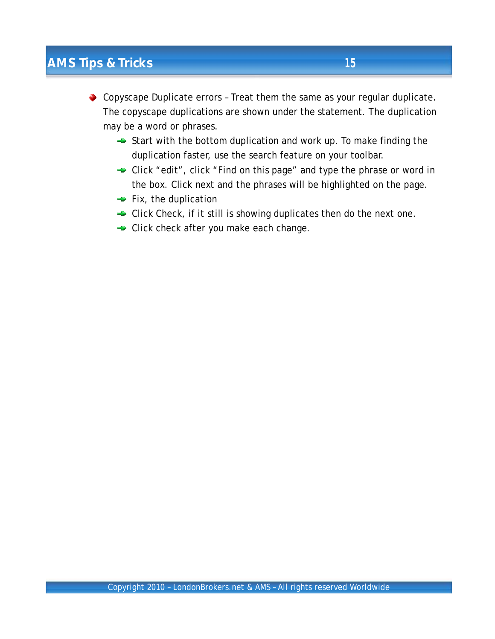◆ Copyscape Duplicate errors - Treat them the same as your regular duplicate. The copyscape duplications are shown under the statement. The duplication may be a word or phrases.

- $\rightarrow$  Start with the bottom duplication and work up. To make finding the duplication faster, use the search feature on your toolbar.
- **► Click "edit", click "Find on this page" and type the phrase or word in** the box. Click next and the phrases will be highlighted on the page.
- $\div$  Fix, the duplication
- $\div$  Click Check, if it still is showing duplicates then do the next one.
- Click check after you make each change.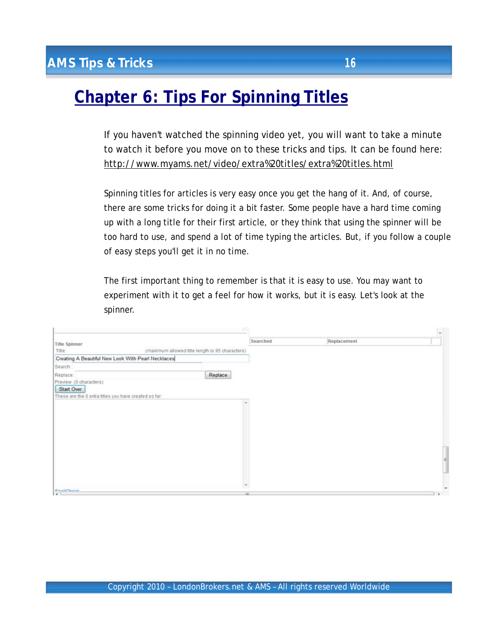# **Chapter 6: Tips For Spinning Titles**

If you haven't watched the spinning video yet, you will want to take a minute to watch it before you move on to these tricks and tips. It can be found here: <http://www.myams.net/video/extra%20titles/extra%20titles.html>

Spinning titles for articles is very easy once you get the hang of it. And, of course, there are some tricks for doing it a bit faster. Some people have a hard time coming up with a long title for their first article, or they think that using the spinner will be too hard to use, and spend a lot of time typing the articles. But, if you follow a couple of easy steps you'll get it in no time.

The first important thing to remember is that it is easy to use. You may want to experiment with it to get a feel for how it works, but it is easy. Let's look at the spinner.

|                                                       |                                                 | $\mathcal{E}(\mathcal{F})$ |             |   |
|-------------------------------------------------------|-------------------------------------------------|----------------------------|-------------|---|
| Title Spinner                                         |                                                 | Searched                   | Replacement |   |
| Title:                                                | (maximum allowed title length is 95 characters) |                            |             |   |
| Creating A Beautiful New Look With Pearl Necklaces    |                                                 |                            |             |   |
| Search:                                               |                                                 |                            |             |   |
| Replace:                                              | Replace                                         |                            |             |   |
| Preview: (0 characters)                               |                                                 |                            |             |   |
| Start Over                                            |                                                 |                            |             |   |
| These are the 0 extra titles you have created so far: |                                                 |                            |             |   |
|                                                       |                                                 | ×                          |             |   |
|                                                       |                                                 |                            |             |   |
|                                                       |                                                 |                            |             |   |
|                                                       |                                                 |                            |             |   |
|                                                       |                                                 |                            |             |   |
|                                                       |                                                 |                            |             |   |
|                                                       |                                                 |                            |             |   |
|                                                       |                                                 |                            |             | 目 |
|                                                       |                                                 |                            |             |   |
|                                                       |                                                 |                            |             |   |
|                                                       |                                                 |                            |             |   |
| <b>Onall Charle</b>                                   |                                                 | $\overline{\phantom{a}}$   |             | ٠ |
| $\lambda$                                             |                                                 | m.                         |             |   |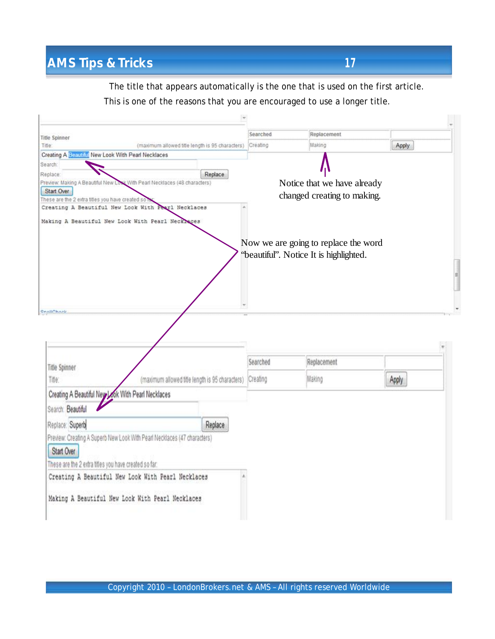The title that appears automatically is the one that is used on the first article. This is one of the reasons that you are encouraged to use a longer title.

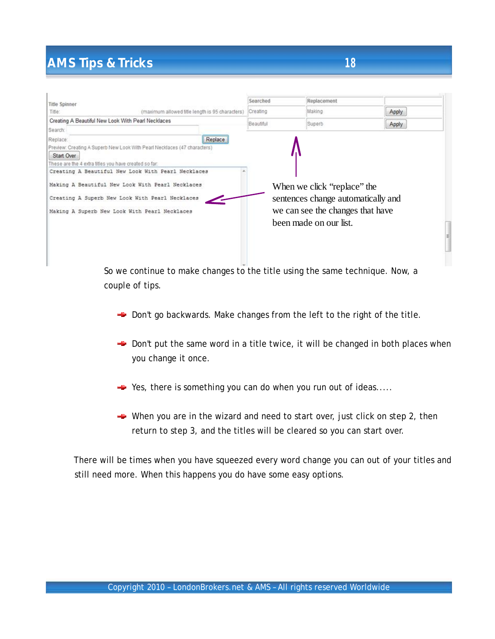| <b>Title Spinner</b>                                                |                                                                                                                                                      | Searched  | Replacement                                                                                           |       |  |
|---------------------------------------------------------------------|------------------------------------------------------------------------------------------------------------------------------------------------------|-----------|-------------------------------------------------------------------------------------------------------|-------|--|
| Title:                                                              | (maximum allowed title length is 95 characters)                                                                                                      | Creating  | Making                                                                                                | Apply |  |
|                                                                     | Creating A Beautiful New Look With Pearl Necklaces                                                                                                   | Beautiful | Superb                                                                                                | Apply |  |
| Search:                                                             |                                                                                                                                                      |           |                                                                                                       |       |  |
| Replace:                                                            | Replace                                                                                                                                              |           |                                                                                                       |       |  |
| Start Over<br>These are the 4 extra titles you have created so far: | Preview: Creating A Superb New Look With Pearl Necklaces (47 characters)<br>Creating A Beautiful New Look With Pearl Necklaces                       |           |                                                                                                       |       |  |
|                                                                     | Making A Beautiful New Look With Pearl Necklaces<br>Creating A Superb New Look With Pearl Necklaces<br>Making A Superb New Look With Pearl Necklaces |           | When we click "replace" the<br>sentences change automatically and<br>we can see the changes that have |       |  |
|                                                                     |                                                                                                                                                      |           | been made on our list.                                                                                |       |  |
|                                                                     |                                                                                                                                                      |           |                                                                                                       |       |  |

So we continue to make changes to the title using the same technique. Now, a couple of tips.

- $\rightarrow$  Don't go backwards. Make changes from the left to the right of the title.
- $\rightarrow$  Don't put the same word in a title twice, it will be changed in both places when you change it once.
- $\div$  Yes, there is something you can do when you run out of ideas....
- When you are in the wizard and need to start over, just click on step 2, then return to step 3, and the titles will be cleared so you can start over.

There will be times when you have squeezed every word change you can out of your titles and still need more. When this happens you do have some easy options.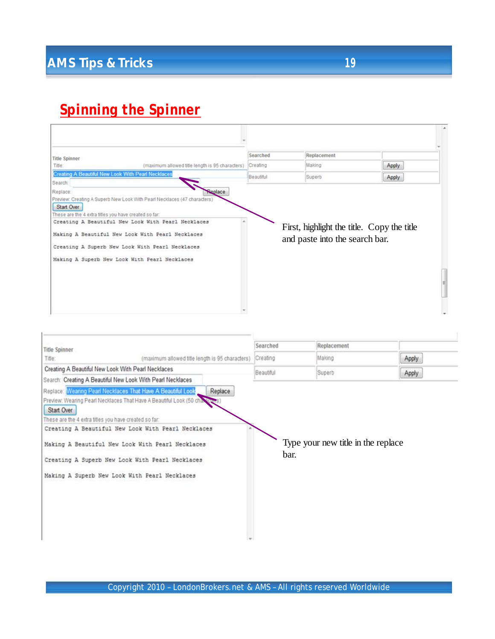# *Spinning the Spinner*

| <b>Title Spinner</b>                                                |                                                                                                                                                                                                                                                                                        | Searched  | Replacement                                                                  |       |  |
|---------------------------------------------------------------------|----------------------------------------------------------------------------------------------------------------------------------------------------------------------------------------------------------------------------------------------------------------------------------------|-----------|------------------------------------------------------------------------------|-------|--|
| Title:                                                              | (maximum allowed title length is 95 characters)                                                                                                                                                                                                                                        | Creating  | Making                                                                       | Apply |  |
| Search:                                                             | Creating A Beautiful New Look With Pearl Necklaces                                                                                                                                                                                                                                     | Beautiful | Superb                                                                       | Apply |  |
| Start Over<br>These are the 4 extra titles you have created so far: | Preview: Creating A Superb New Look With Pearl Necklaces (47 characters)<br>Creating A Beautiful New Look With Pearl Necklaces<br>Making A Beautiful New Look With Pearl Necklaces<br>Creating A Superb New Look With Pearl Necklaces<br>Making A Superb New Look With Pearl Necklaces |           | First, highlight the title. Copy the title<br>and paste into the search bar. |       |  |
|                                                                     |                                                                                                                                                                                                                                                                                        |           |                                                                              |       |  |
|                                                                     |                                                                                                                                                                                                                                                                                        |           |                                                                              |       |  |

| <b>Title Spinner</b>                                  |                                                                           | Searched  | Replacement                        |       |
|-------------------------------------------------------|---------------------------------------------------------------------------|-----------|------------------------------------|-------|
| Title:                                                | (maximum allowed title length is 95 characters)                           | Creating  | Making                             | Apply |
|                                                       | Creating A Beautiful New Look With Pearl Necklaces                        | Beautiful | Superb                             | Apply |
|                                                       | Search: Creating A Beautiful New Look With Pearl Necklaces                |           |                                    |       |
|                                                       | Replace: Wearing Pearl Necklaces That Have A Beautiful Look<br>Replace    |           |                                    |       |
|                                                       | Preview: Wearing Pearl Necklaces That Have A Beautiful Look (50 changers) |           |                                    |       |
| Start Over                                            |                                                                           |           |                                    |       |
| These are the 4 extra titles you have created so far: |                                                                           |           |                                    |       |
|                                                       | Creating A Beautiful New Look With Pearl Necklaces                        |           |                                    |       |
|                                                       | Making A Beautiful New Look With Pearl Necklaces                          |           | Type your new title in the replace |       |
|                                                       |                                                                           | bar.      |                                    |       |
|                                                       | Creating A Superb New Look With Pearl Necklaces                           |           |                                    |       |
|                                                       | Making A Superb New Look With Pearl Necklaces                             |           |                                    |       |
|                                                       |                                                                           |           |                                    |       |
|                                                       |                                                                           |           |                                    |       |
|                                                       |                                                                           |           |                                    |       |
|                                                       |                                                                           |           |                                    |       |
|                                                       |                                                                           |           |                                    |       |
|                                                       |                                                                           |           |                                    |       |
|                                                       |                                                                           |           |                                    |       |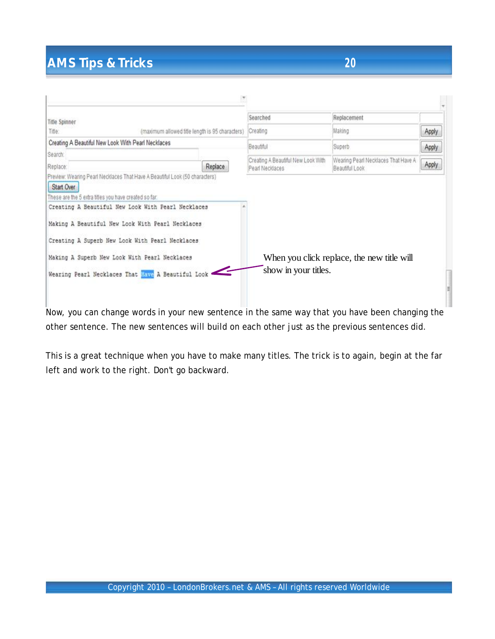| <b>Title Spinner</b>                               |                                                    | Searched                                              | Replacement                                           |       |
|----------------------------------------------------|----------------------------------------------------|-------------------------------------------------------|-------------------------------------------------------|-------|
| Title:                                             | (maximum allowed title length is 95 characters)    | Creating                                              | Making                                                | Apply |
| Creating A Beautiful New Look With Pearl Necklaces |                                                    | Beautiful                                             | Superb                                                | Apply |
| Search:                                            |                                                    |                                                       |                                                       |       |
| Replace:                                           | Replace                                            | Creating A Beautiful New Look With<br>Pearl Necklaces | Wearing Pearl Necklaces That Have A<br>Beautiful Look | Apply |
|                                                    | Making A Beautiful New Look With Pearl Necklaces   |                                                       |                                                       |       |
|                                                    | Creating A Superb New Look With Pearl Necklaces    |                                                       |                                                       |       |
|                                                    | Making A Superb New Look With Pearl Necklaces      |                                                       | When you click replace, the new title will            |       |
|                                                    | Wearing Pearl Necklaces That Have A Beautiful Look | show in your titles.                                  |                                                       |       |
|                                                    |                                                    |                                                       |                                                       |       |

Now, you can change words in your new sentence in the same way that you have been changing the other sentence. The new sentences will build on each other just as the previous sentences did.

This is a great technique when you have to make many titles. The trick is to again, begin at the far left and work to the right. Don't go backward.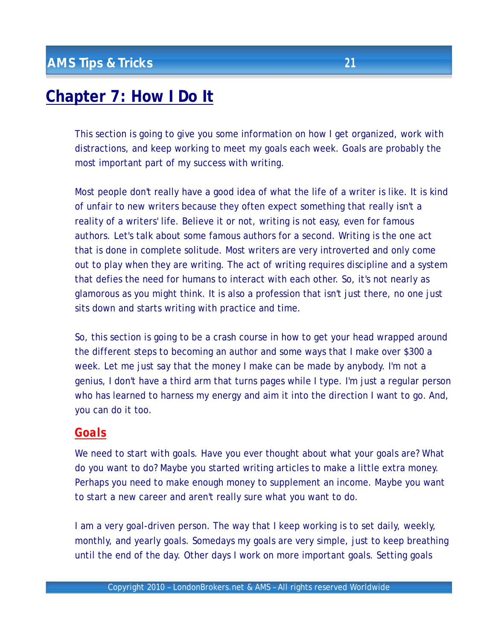# **Chapter 7: How I Do It**

This section is going to give you some information on how I get organized, work with distractions, and keep working to meet my goals each week. Goals are probably the most important part of my success with writing.

Most people don't really have a good idea of what the life of a writer is like. It is kind of unfair to new writers because they often expect something that really isn't a reality of a writers' life. Believe it or not, writing is not easy, even for famous authors. Let's talk about some famous authors for a second. Writing is the one act that is done in complete solitude. Most writers are very introverted and only come out to play when they are writing. The act of writing requires discipline and a system that defies the need for humans to interact with each other. So, it's not nearly as glamorous as you might think. It is also a profession that isn't just there, no one just sits down and starts writing with practice and time.

So, this section is going to be a crash course in how to get your head wrapped around the different steps to becoming an author and some ways that I make over \$300 a week. Let me just say that the money I make can be made by anybody. I'm not a genius, I don't have a third arm that turns pages while I type. I'm just a regular person who has learned to harness my energy and aim it into the direction I want to go. And, you can do it too.

## *Goals*

We need to start with goals. Have you ever thought about what your goals are? What do you want to do? Maybe you started writing articles to make a little extra money. Perhaps you need to make enough money to supplement an income. Maybe you want to start a new career and aren't really sure what you want to do.

I am a very goal-driven person. The way that I keep working is to set daily, weekly, monthly, and yearly goals. Somedays my goals are very simple, just to keep breathing until the end of the day. Other days I work on more important goals. Setting goals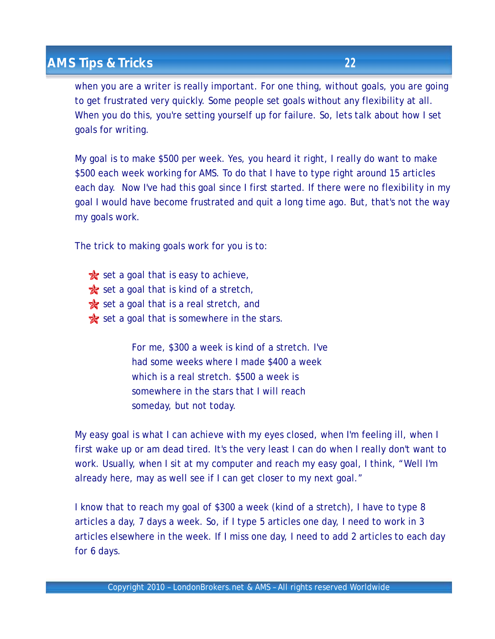when you are a writer is really important. For one thing, without goals, you are going to get frustrated very quickly. Some people set goals without any flexibility at all. When you do this, you're setting yourself up for failure. So, lets talk about how I set goals for writing.

My goal is to make \$500 per week. Yes, you heard it right, I really do want to make \$500 each week working for AMS. To do that I have to type right around 15 articles each day. Now I've had this goal since I first started. If there were no flexibility in my goal I would have become frustrated and quit a long time ago. But, that's not the way my goals work.

The trick to making goals work for you is to:

 $\mathbf{\hat{x}}$  set a goal that is easy to achieve,  $\mathbf{\hat{x}}$  set a goal that is kind of a stretch,  $\star$  set a goal that is a real stretch, and  $\star$  set a goal that is somewhere in the stars.

> For me, \$300 a week is kind of a stretch. I've had some weeks where I made \$400 a week which is a real stretch. \$500 a week is somewhere in the stars that I will reach someday, but not today.

My easy goal is what I can achieve with my eyes closed, when I'm feeling ill, when I first wake up or am dead tired. It's the very least I can do when I really don't want to work. Usually, when I sit at my computer and reach my easy goal, I think, "Well I'm already here, may as well see if I can get closer to my next goal."

I know that to reach my goal of \$300 a week (kind of a stretch), I have to type 8 articles a day, 7 days a week. So, if I type 5 articles one day, I need to work in 3 articles elsewhere in the week. If I miss one day, I need to add 2 articles to each day for 6 days.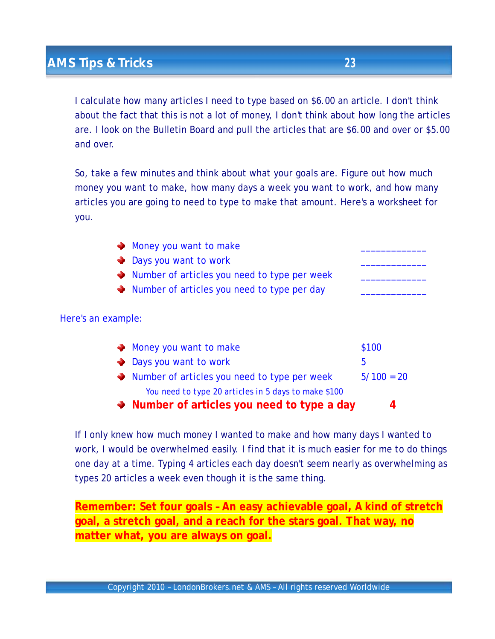I calculate how many articles I need to type based on \$6.00 an article. I don't think about the fact that this is not a lot of money, I don't think about how long the articles are. I look on the Bulletin Board and pull the articles that are \$6.00 and over or \$5.00 and over.

So, take a few minutes and think about what your goals are. Figure out how much money you want to make, how many days a week you want to work, and how many articles you are going to need to type to make that amount. Here's a worksheet for you.

| Money you want to make                                      |              |
|-------------------------------------------------------------|--------------|
| • Days you want to work                                     |              |
| Number of articles you need to type per week                |              |
| $\blacklozenge$ Number of articles you need to type per day |              |
|                                                             |              |
| Here's an example:                                          |              |
| Money you want to make                                      | \$100        |
| • Days you want to work                                     | 5            |
| Number of articles you need to type per week                | $5/100 = 20$ |
| You need to type 20 articles in 5 days to make \$100        |              |
| • Number of articles you need to type a day                 | 4            |

If I only knew how much money I wanted to make and how many days I wanted to work, I would be overwhelmed easily. I find that it is much easier for me to do things one day at a time. Typing 4 articles each day doesn't seem nearly as overwhelming as types 20 articles a week even though it is the same thing.

**Remember: Set four goals – An easy achievable goal, A kind of stretch goal, a stretch goal, and a reach for the stars goal. That way, no matter what, you are always on goal.**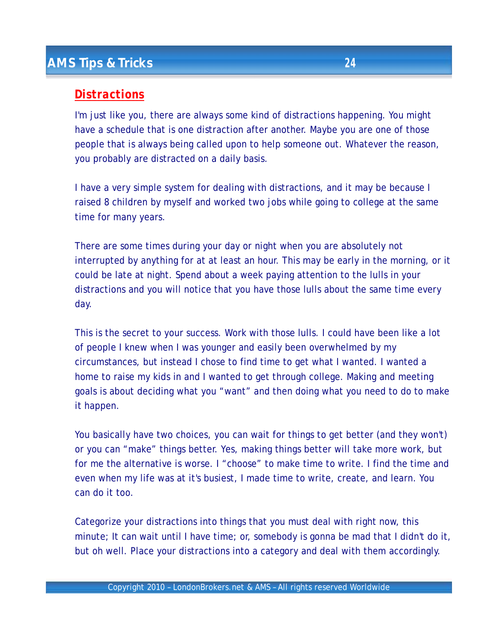## *Distractions*

I'm just like you, there are always some kind of distractions happening. You might have a schedule that is one distraction after another. Maybe you are one of those people that is always being called upon to help someone out. Whatever the reason, you probably are distracted on a daily basis.

I have a very simple system for dealing with distractions, and it may be because I raised 8 children by myself and worked two jobs while going to college at the same time for many years.

There are some times during your day or night when you are absolutely not interrupted by anything for at at least an hour. This may be early in the morning, or it could be late at night. Spend about a week paying attention to the lulls in your distractions and you will notice that you have those lulls about the same time every day.

This is the secret to your success. Work with those lulls. I could have been like a lot of people I knew when I was younger and easily been overwhelmed by my circumstances, but instead I chose to find time to get what I wanted. I wanted a home to raise my kids in and I wanted to get through college. Making and meeting goals is about deciding what you "want" and then doing what you need to do to make it happen.

You basically have two choices, you can wait for things to get better (and they won't) or you can "make" things better. Yes, making things better will take more work, but for me the alternative is worse. I "choose" to make time to write. I find the time and even when my life was at it's busiest, I made time to write, create, and learn. You can do it too.

Categorize your distractions into things that you must deal with right now, this minute; It can wait until I have time; or, somebody is gonna be mad that I didn't do it, but oh well. Place your distractions into a category and deal with them accordingly.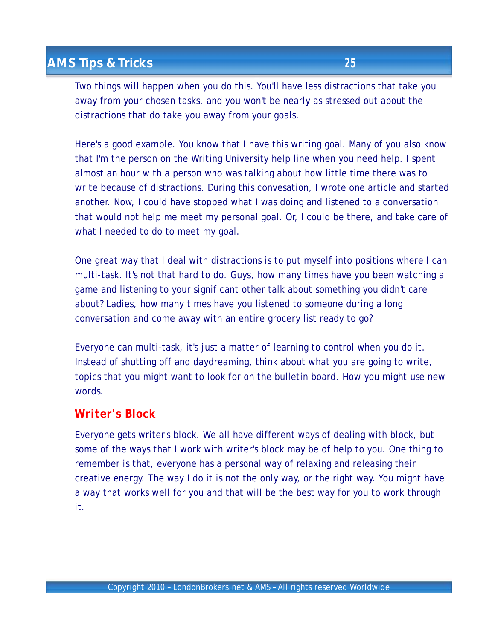Two things will happen when you do this. You'll have less distractions that take you away from your chosen tasks, and you won't be nearly as stressed out about the distractions that do take you away from your goals.

Here's a good example. You know that I have this writing goal. Many of you also know that I'm the person on the Writing University help line when you need help. I spent almost an hour with a person who was talking about how little time there was to write because of distractions. During this convesation, I wrote one article and started another. Now, I could have stopped what I was doing and listened to a conversation that would not help me meet my personal goal. Or, I could be there, and take care of what I needed to do to meet my goal.

One great way that I deal with distractions is to put myself into positions where I can multi-task. It's not that hard to do. Guys, how many times have you been watching a game and listening to your significant other talk about something you didn't care about? Ladies, how many times have you listened to someone during a long conversation and come away with an entire grocery list ready to go?

Everyone can multi-task, it's just a matter of learning to control when you do it. Instead of shutting off and daydreaming, think about what you are going to write, topics that you might want to look for on the bulletin board. How you might use new words.

#### *Writer's Block*

Everyone gets writer's block. We all have different ways of dealing with block, but some of the ways that I work with writer's block may be of help to you. One thing to remember is that, everyone has a personal way of relaxing and releasing their creative energy. The way I do it is not the only way, or the right way. You might have a way that works well for you and that will be the best way for you to work through it.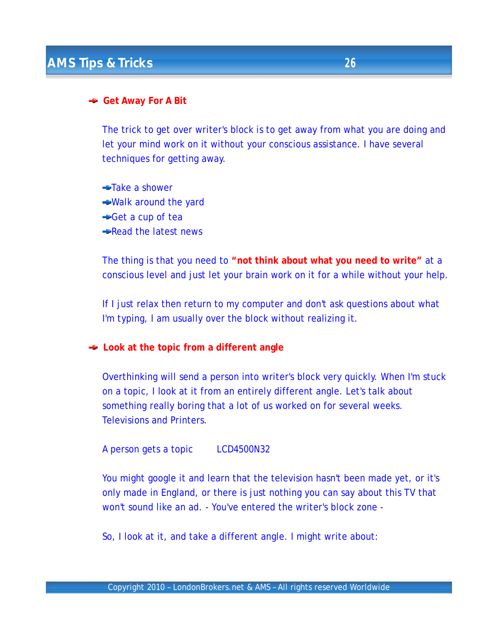#### **Get Away For A Bit**

The trick to get over writer's block is to get away from what you are doing and let your mind work on it without your conscious assistance. I have several techniques for getting away.

Take a shower Walk around the yard Get a cup of tea Read the latest news

The thing is that you need to **"not think about what you need to write"** at a conscious level and just let your brain work on it for a while without your help.

If I just relax then return to my computer and don't ask questions about what I'm typing, I am usually over the block without realizing it.

**Look at the topic from a different angle**

Overthinking will send a person into writer's block very quickly. When I'm stuck on a topic, I look at it from an entirely different angle. Let's talk about something really boring that a lot of us worked on for several weeks. Televisions and Printers.

A person gets a topic LCD4500N32

You might google it and learn that the television hasn't been made yet, or it's only made in England, or there is just nothing you can say about this TV that won't sound like an ad. - You've entered the writer's block zone -

So, I look at it, and take a different angle. I might write about: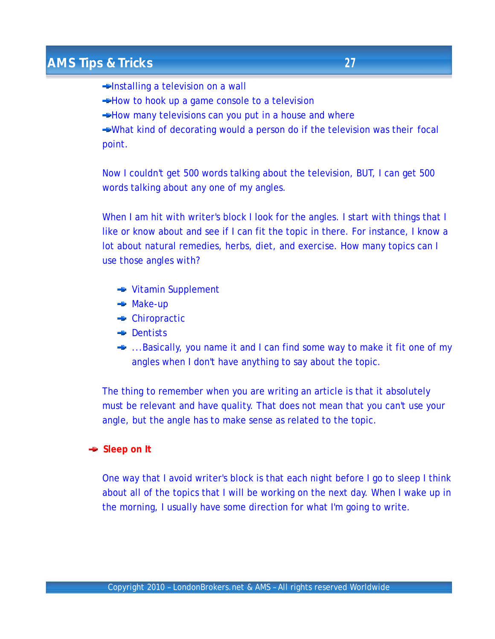**Elnstalling a television on a wall** 

- **→ How to hook up a game console to a television**
- $\rightarrow$  How many televisions can you put in a house and where

What kind of decorating would a person do if the television was their focal point.

Now I couldn't get 500 words talking about the television, BUT, I can get 500 words talking about any one of my angles.

When I am hit with writer's block I look for the angles. I start with things that I like or know about and see if I can fit the topic in there. For instance, I know a lot about natural remedies, herbs, diet, and exercise. How many topics can I use those angles with?

- **► Vitamin Supplement**
- **→** Make-up
- Chiropractic
- **Dentists**
- **■** ...Basically, you name it and I can find some way to make it fit one of my angles when I don't have anything to say about the topic.

The thing to remember when you are writing an article is that it absolutely must be relevant and have quality. That does not mean that you can't use your angle, but the angle has to make sense as related to the topic.

#### **Sleep on It**

One way that I avoid writer's block is that each night before I go to sleep I think about all of the topics that I will be working on the next day. When I wake up in the morning, I usually have some direction for what I'm going to write.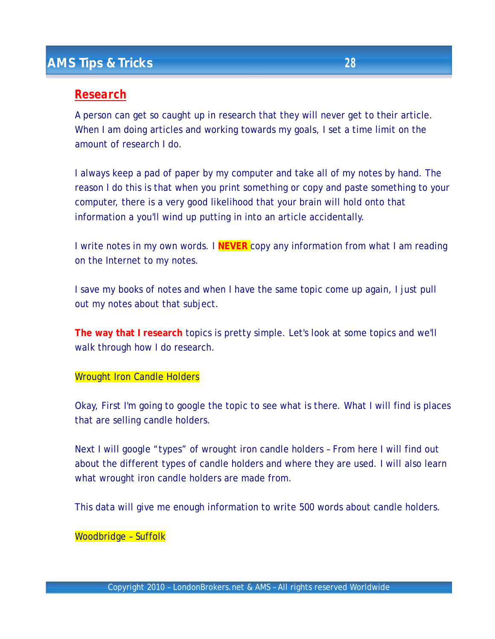#### *Research*

A person can get so caught up in research that they will never get to their article. When I am doing articles and working towards my goals, I set a time limit on the amount of research I do.

I always keep a pad of paper by my computer and take all of my notes by hand. The reason I do this is that when you print something or copy and paste something to your computer, there is a very good likelihood that your brain will hold onto that information a you'll wind up putting in into an article accidentally.

I write notes in my own words. I **NEVER** copy any information from what I am reading on the Internet to my notes.

I save my books of notes and when I have the same topic come up again, I just pull out my notes about that subject.

**The way that I research** topics is pretty simple. Let's look at some topics and we'll walk through how I do research.

#### Wrought Iron Candle Holders

Okay, First I'm going to google the topic to see what is there. What I will find is places that are selling candle holders.

Next I will google "types" of wrought iron candle holders – From here I will find out about the different types of candle holders and where they are used. I will also learn what wrought iron candle holders are made from.

This data will give me enough information to write 500 words about candle holders.

#### Woodbridge – Suffolk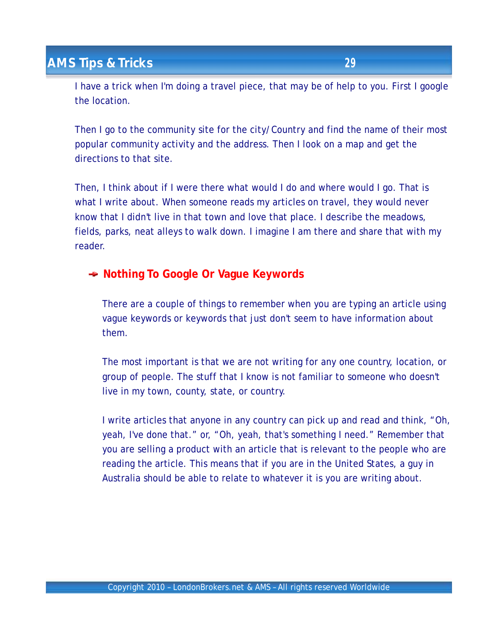I have a trick when I'm doing a travel piece, that may be of help to you. First I google the location.

Then I go to the community site for the city/Country and find the name of their most popular community activity and the address. Then I look on a map and get the directions to that site.

Then, I think about if I were there what would I do and where would I go. That is what I write about. When someone reads my articles on travel, they would never know that I didn't live in that town and love that place. I describe the meadows, fields, parks, neat alleys to walk down. I imagine I am there and share that with my reader.

**Nothing To Google Or Vague Keywords**

There are a couple of things to remember when you are typing an article using vague keywords or keywords that just don't seem to have information about them.

The most important is that we are not writing for any one country, location, or group of people. The stuff that I know is not familiar to someone who doesn't live in my town, county, state, or country.

I write articles that anyone in any country can pick up and read and think, "Oh, yeah, I've done that." or, "Oh, yeah, that's something I need." Remember that you are selling a product with an article that is relevant to the people who are reading the article. This means that if you are in the United States, a guy in Australia should be able to relate to whatever it is you are writing about.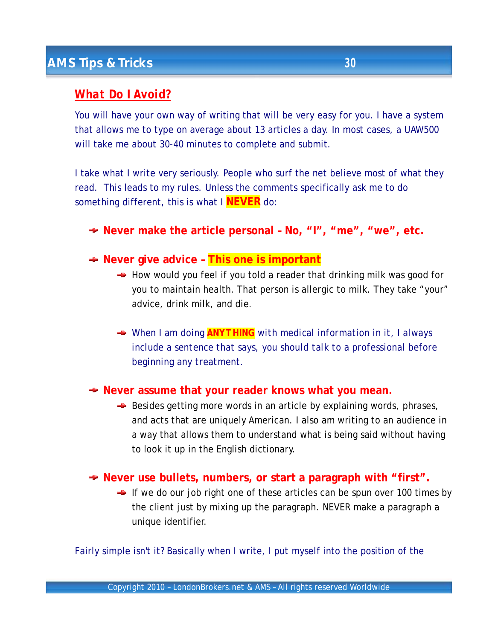## *What Do I Avoid?*

You will have your own way of writing that will be very easy for you. I have a system that allows me to type on average about 13 articles a day. In most cases, a UAW500 will take me about 30-40 minutes to complete and submit.

I take what I write very seriously. People who surf the net believe most of what they read. This leads to my rules. Unless the comments specifically ask me to do something different, this is what I **NEVER** do:

- **Never make the article personal – No, "I", "me", "we", etc.**
- **Never give advice This one is important**
	- $\rightarrow$  How would you feel if you told a reader that drinking milk was good for you to maintain health. That person is allergic to milk. They take "your" advice, drink milk, and die.
	- *When I am doing ANYTHING with medical information in it, I always include a sentence that says, you should talk to a professional before beginning any treatment.*

#### **Never assume that your reader knows what you mean.**

- $\rightarrow$  Besides getting more words in an article by explaining words, phrases, and acts that are uniquely American. I also am writing to an audience in a way that allows them to understand what is being said without having to look it up in the English dictionary.
- **Never use bullets, numbers, or start a paragraph with "first".**
	- $\rightarrow$  If we do our job right one of these articles can be spun over 100 times by the client just by mixing up the paragraph. NEVER make a paragraph a unique identifier.

Fairly simple isn't it? Basically when I write, I put myself into the position of the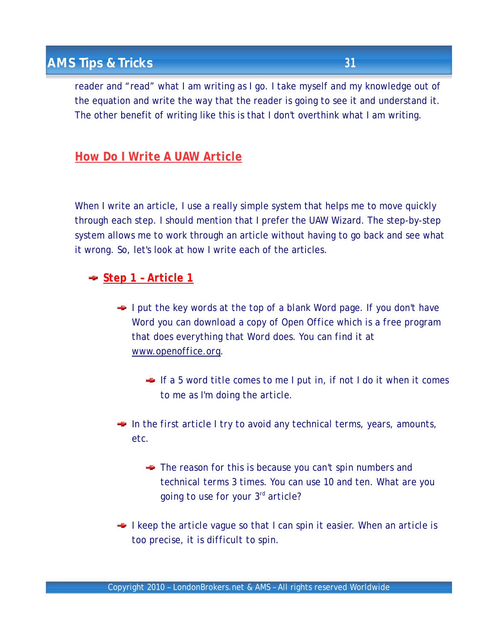reader and "read" what I am writing as I go. I take myself and my knowledge out of the equation and write the way that the reader is going to see it and understand it. The other benefit of writing like this is that I don't overthink what I am writing.

## *How Do I Write A UAW Article*

When I write an article, I use a really simple system that helps me to move quickly through each step. I should mention that I prefer the UAW Wizard. The step-by-step system allows me to work through an article without having to go back and see what it wrong. So, let's look at how I write each of the articles.

## *Step 1 – Article 1*

- *I put the key words at the top of a blank Word page. If you don't have Word you can download a copy of Open Office which is a free program that does everything that Word does. You can find it at [www.openoffice.org.](http://www.openoffice.org)* 
	- *If a 5 word title comes to me I put in, if not I do it when it comes to me as I'm doing the article.*
- *In the first article I try to avoid any technical terms, years, amounts, etc.*
	- *The reason for this is because you can't spin numbers and technical terms 3 times. You can use 10 and ten. What are you going to use for your 3rd article?*
- *I keep the article vague so that I can spin it easier. When an article is too precise, it is difficult to spin.*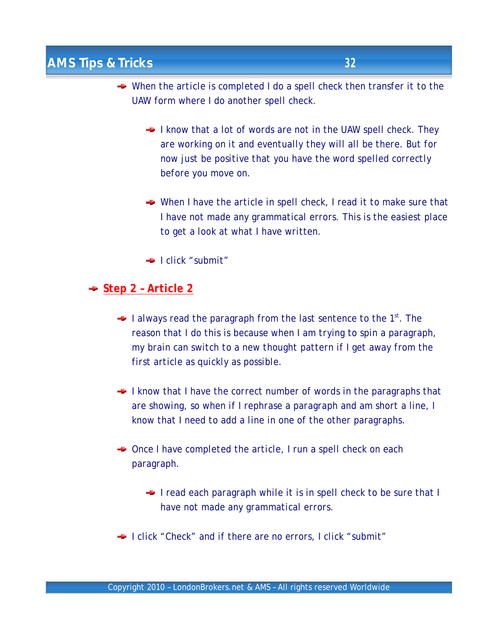- *When the article is completed I do a spell check then transfer it to the UAW form where I do another spell check.*
	- *I know that a lot of words are not in the UAW spell check. They are working on it and eventually they will all be there. But for now just be positive that you have the word spelled correctly before you move on.*
	- *When I have the article in spell check, I read it to make sure that I have not made any grammatical errors. This is the easiest place to get a look at what I have written.*
	- *I click "submit"*

#### *Step 2 – Article 2*

- *I always read the paragraph from the last sentence to the 1st . The reason that I do this is because when I am trying to spin a paragraph, my brain can switch to a new thought pattern if I get away from the first article as quickly as possible.*
- *I know that I have the correct number of words in the paragraphs that are showing, so when if I rephrase a paragraph and am short a line, I know that I need to add a line in one of the other paragraphs.*
- *Once I have completed the article, I run a spell check on each paragraph.*
	- *I read each paragraph while it is in spell check to be sure that I have not made any grammatical errors.*
- *I click "Check" and if there are no errors, I click "submit"*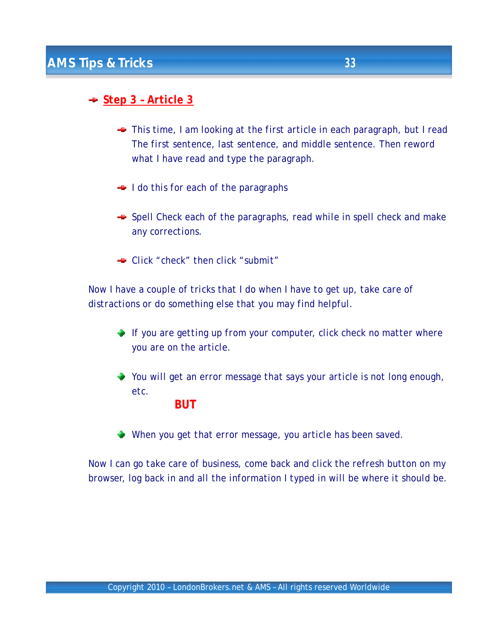## *Step 3 – Article 3*

- *This time, I am looking at the first article in each paragraph, but I read The first sentence, last sentence, and middle sentence. Then reword what I have read and type the paragraph.*
- *I do this for each of the paragraphs*
- *Spell Check each of the paragraphs, read while in spell check and make any corrections.*
- *Click "check" then click "submit"*

*Now I have a couple of tricks that I do when I have to get up, take care of distractions or do something else that you may find helpful.*

- *If you are getting up from your computer, click check no matter where you are on the article.*
- *You will get an error message that says your article is not long enough, etc.*

#### *BUT*

*When you get that error message, you article has been saved.*

*Now I can go take care of business, come back and click the refresh button on my browser, log back in and all the information I typed in will be where it should be.*